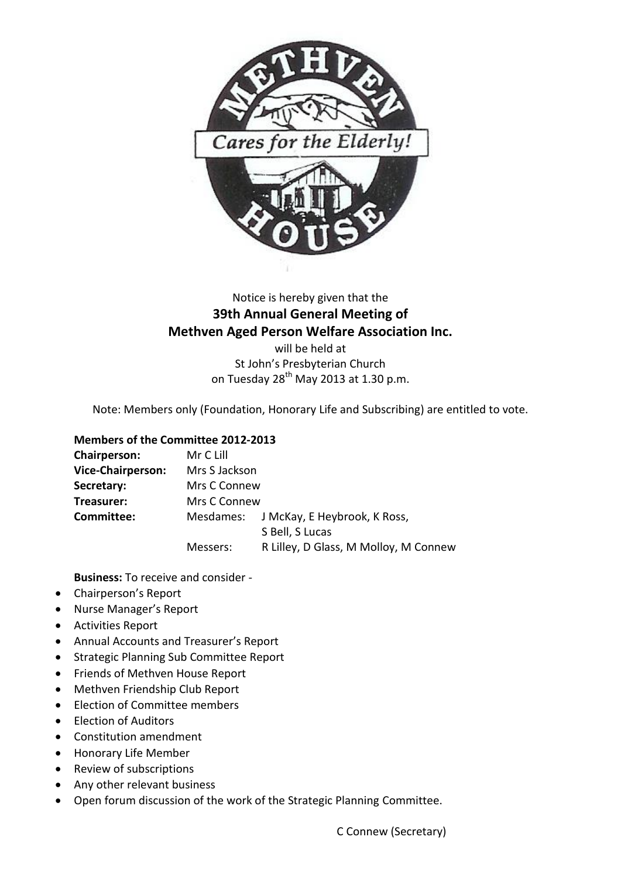

# Notice is hereby given that the **39th Annual General Meeting of Methven Aged Person Welfare Association Inc.**

will be held at St John's Presbyterian Church on Tuesday  $28^{th}$  May 2013 at 1.30 p.m.

Note: Members only (Foundation, Honorary Life and Subscribing) are entitled to vote.

#### **Members of the Committee 2012-2013**

| Chairperson:             | Mr C Lill     |                                       |  |
|--------------------------|---------------|---------------------------------------|--|
| <b>Vice-Chairperson:</b> | Mrs S Jackson |                                       |  |
| Secretary:               | Mrs C Connew  |                                       |  |
| Treasurer:               | Mrs C Connew  |                                       |  |
| Committee:               | Mesdames:     | J McKay, E Heybrook, K Ross,          |  |
|                          |               | S Bell, S Lucas                       |  |
|                          | Messers:      | R Lilley, D Glass, M Molloy, M Connew |  |

**Business:** To receive and consider -

- Chairperson's Report
- Nurse Manager's Report
- Activities Report
- Annual Accounts and Treasurer's Report
- **•** Strategic Planning Sub Committee Report
- Friends of Methven House Report
- Methven Friendship Club Report
- Election of Committee members
- Flection of Auditors
- Constitution amendment
- Honorary Life Member
- Review of subscriptions
- Any other relevant business
- Open forum discussion of the work of the Strategic Planning Committee.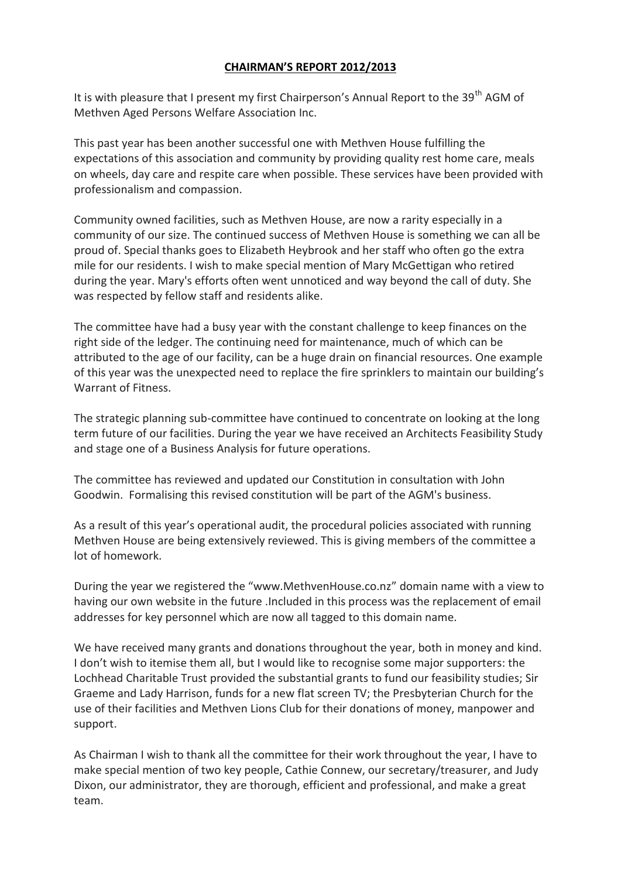#### **CHAIRMAN'S REPORT 2012/2013**

It is with pleasure that I present my first Chairperson's Annual Report to the 39<sup>th</sup> AGM of Methven Aged Persons Welfare Association Inc.

This past year has been another successful one with Methven House fulfilling the expectations of this association and community by providing quality rest home care, meals on wheels, day care and respite care when possible. These services have been provided with professionalism and compassion.

Community owned facilities, such as Methven House, are now a rarity especially in a community of our size. The continued success of Methven House is something we can all be proud of. Special thanks goes to Elizabeth Heybrook and her staff who often go the extra mile for our residents. I wish to make special mention of Mary McGettigan who retired during the year. Mary's efforts often went unnoticed and way beyond the call of duty. She was respected by fellow staff and residents alike.

The committee have had a busy year with the constant challenge to keep finances on the right side of the ledger. The continuing need for maintenance, much of which can be attributed to the age of our facility, can be a huge drain on financial resources. One example of this year was the unexpected need to replace the fire sprinklers to maintain our building's Warrant of Fitness.

The strategic planning sub-committee have continued to concentrate on looking at the long term future of our facilities. During the year we have received an Architects Feasibility Study and stage one of a Business Analysis for future operations.

The committee has reviewed and updated our Constitution in consultation with John Goodwin. Formalising this revised constitution will be part of the AGM's business.

As a result of this year's operational audit, the procedural policies associated with running Methven House are being extensively reviewed. This is giving members of the committee a lot of homework.

During the year we registered the "www.MethvenHouse.co.nz" domain name with a view to having our own website in the future .Included in this process was the replacement of email addresses for key personnel which are now all tagged to this domain name.

We have received many grants and donations throughout the year, both in money and kind. I don't wish to itemise them all, but I would like to recognise some major supporters: the Lochhead Charitable Trust provided the substantial grants to fund our feasibility studies; Sir Graeme and Lady Harrison, funds for a new flat screen TV; the Presbyterian Church for the use of their facilities and Methven Lions Club for their donations of money, manpower and support.

As Chairman I wish to thank all the committee for their work throughout the year, I have to make special mention of two key people, Cathie Connew, our secretary/treasurer, and Judy Dixon, our administrator, they are thorough, efficient and professional, and make a great team.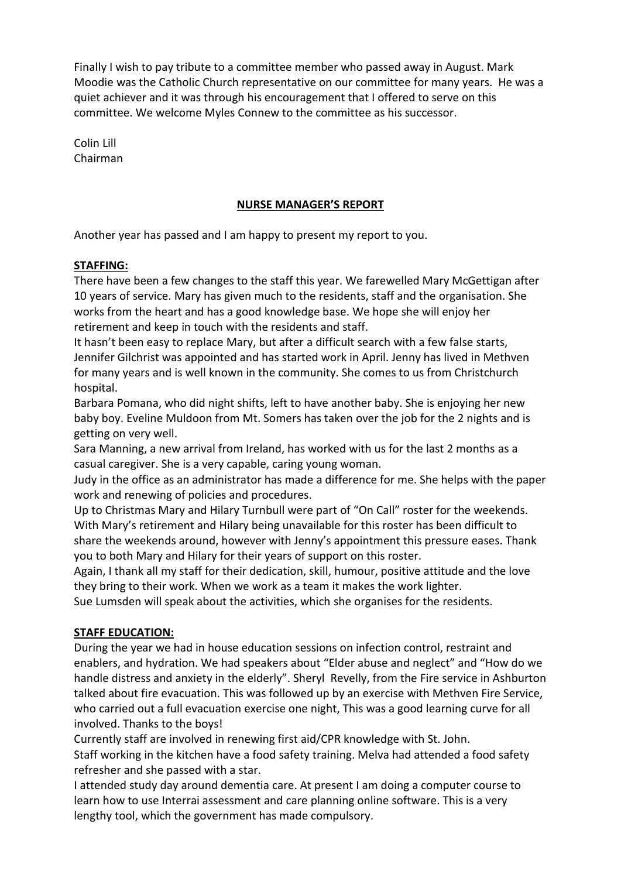Finally I wish to pay tribute to a committee member who passed away in August. Mark Moodie was the Catholic Church representative on our committee for many years. He was a quiet achiever and it was through his encouragement that I offered to serve on this committee. We welcome Myles Connew to the committee as his successor.

Colin Lill Chairman

## **NURSE MANAGER'S REPORT**

Another year has passed and I am happy to present my report to you.

## **STAFFING:**

There have been a few changes to the staff this year. We farewelled Mary McGettigan after 10 years of service. Mary has given much to the residents, staff and the organisation. She works from the heart and has a good knowledge base. We hope she will enjoy her retirement and keep in touch with the residents and staff.

It hasn't been easy to replace Mary, but after a difficult search with a few false starts, Jennifer Gilchrist was appointed and has started work in April. Jenny has lived in Methven for many years and is well known in the community. She comes to us from Christchurch hospital.

Barbara Pomana, who did night shifts, left to have another baby. She is enjoying her new baby boy. Eveline Muldoon from Mt. Somers has taken over the job for the 2 nights and is getting on very well.

Sara Manning, a new arrival from Ireland, has worked with us for the last 2 months as a casual caregiver. She is a very capable, caring young woman.

Judy in the office as an administrator has made a difference for me. She helps with the paper work and renewing of policies and procedures.

Up to Christmas Mary and Hilary Turnbull were part of "On Call" roster for the weekends. With Mary's retirement and Hilary being unavailable for this roster has been difficult to share the weekends around, however with Jenny's appointment this pressure eases. Thank you to both Mary and Hilary for their years of support on this roster.

Again, I thank all my staff for their dedication, skill, humour, positive attitude and the love they bring to their work. When we work as a team it makes the work lighter.

Sue Lumsden will speak about the activities, which she organises for the residents.

## **STAFF EDUCATION:**

During the year we had in house education sessions on infection control, restraint and enablers, and hydration. We had speakers about "Elder abuse and neglect" and "How do we handle distress and anxiety in the elderly". Sheryl Revelly, from the Fire service in Ashburton talked about fire evacuation. This was followed up by an exercise with Methven Fire Service, who carried out a full evacuation exercise one night, This was a good learning curve for all involved. Thanks to the boys!

Currently staff are involved in renewing first aid/CPR knowledge with St. John. Staff working in the kitchen have a food safety training. Melva had attended a food safety refresher and she passed with a star.

I attended study day around dementia care. At present I am doing a computer course to learn how to use Interrai assessment and care planning online software. This is a very lengthy tool, which the government has made compulsory.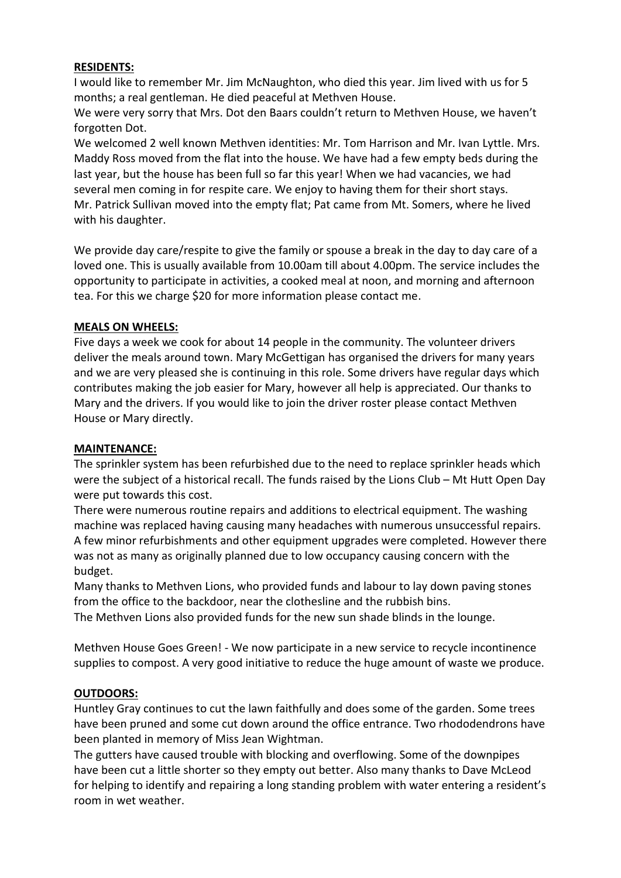#### **RESIDENTS:**

I would like to remember Mr. Jim McNaughton, who died this year. Jim lived with us for 5 months; a real gentleman. He died peaceful at Methven House.

We were very sorry that Mrs. Dot den Baars couldn't return to Methven House, we haven't forgotten Dot.

We welcomed 2 well known Methven identities: Mr. Tom Harrison and Mr. Ivan Lyttle. Mrs. Maddy Ross moved from the flat into the house. We have had a few empty beds during the last year, but the house has been full so far this year! When we had vacancies, we had several men coming in for respite care. We enjoy to having them for their short stays. Mr. Patrick Sullivan moved into the empty flat; Pat came from Mt. Somers, where he lived with his daughter.

We provide day care/respite to give the family or spouse a break in the day to day care of a loved one. This is usually available from 10.00am till about 4.00pm. The service includes the opportunity to participate in activities, a cooked meal at noon, and morning and afternoon tea. For this we charge \$20 for more information please contact me.

#### **MEALS ON WHEELS:**

Five days a week we cook for about 14 people in the community. The volunteer drivers deliver the meals around town. Mary McGettigan has organised the drivers for many years and we are very pleased she is continuing in this role. Some drivers have regular days which contributes making the job easier for Mary, however all help is appreciated. Our thanks to Mary and the drivers. If you would like to join the driver roster please contact Methven House or Mary directly.

## **MAINTENANCE:**

The sprinkler system has been refurbished due to the need to replace sprinkler heads which were the subject of a historical recall. The funds raised by the Lions Club – Mt Hutt Open Day were put towards this cost.

There were numerous routine repairs and additions to electrical equipment. The washing machine was replaced having causing many headaches with numerous unsuccessful repairs. A few minor refurbishments and other equipment upgrades were completed. However there was not as many as originally planned due to low occupancy causing concern with the budget.

Many thanks to Methven Lions, who provided funds and labour to lay down paving stones from the office to the backdoor, near the clothesline and the rubbish bins.

The Methven Lions also provided funds for the new sun shade blinds in the lounge.

Methven House Goes Green! - We now participate in a new service to recycle incontinence supplies to compost. A very good initiative to reduce the huge amount of waste we produce.

## **OUTDOORS:**

Huntley Gray continues to cut the lawn faithfully and does some of the garden. Some trees have been pruned and some cut down around the office entrance. Two rhododendrons have been planted in memory of Miss Jean Wightman.

The gutters have caused trouble with blocking and overflowing. Some of the downpipes have been cut a little shorter so they empty out better. Also many thanks to Dave McLeod for helping to identify and repairing a long standing problem with water entering a resident's room in wet weather.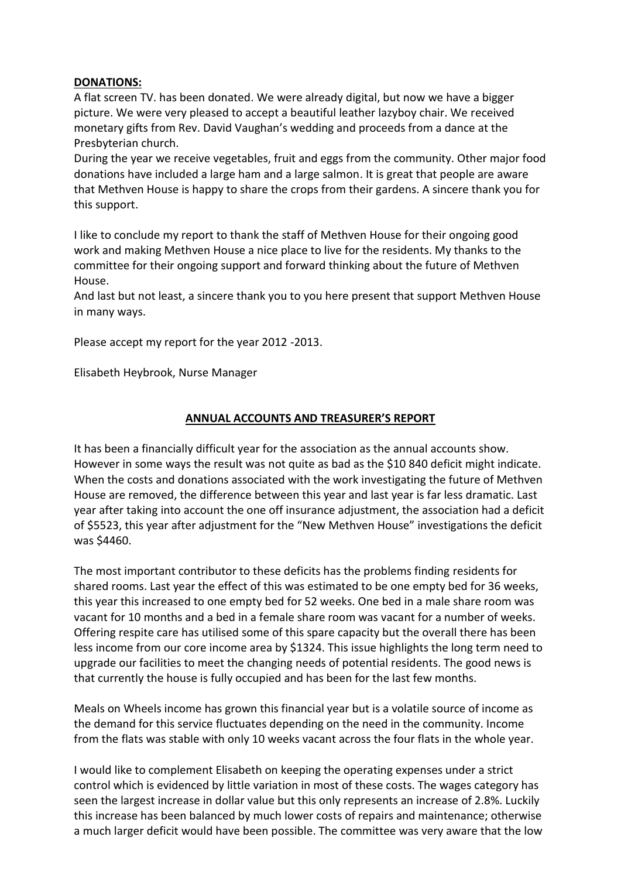#### **DONATIONS:**

A flat screen TV. has been donated. We were already digital, but now we have a bigger picture. We were very pleased to accept a beautiful leather lazyboy chair. We received monetary gifts from Rev. David Vaughan's wedding and proceeds from a dance at the Presbyterian church.

During the year we receive vegetables, fruit and eggs from the community. Other major food donations have included a large ham and a large salmon. It is great that people are aware that Methven House is happy to share the crops from their gardens. A sincere thank you for this support.

I like to conclude my report to thank the staff of Methven House for their ongoing good work and making Methven House a nice place to live for the residents. My thanks to the committee for their ongoing support and forward thinking about the future of Methven House.

And last but not least, a sincere thank you to you here present that support Methven House in many ways.

Please accept my report for the year 2012 -2013.

Elisabeth Heybrook, Nurse Manager

## **ANNUAL ACCOUNTS AND TREASURER'S REPORT**

It has been a financially difficult year for the association as the annual accounts show. However in some ways the result was not quite as bad as the \$10 840 deficit might indicate. When the costs and donations associated with the work investigating the future of Methven House are removed, the difference between this year and last year is far less dramatic. Last year after taking into account the one off insurance adjustment, the association had a deficit of \$5523, this year after adjustment for the "New Methven House" investigations the deficit was \$4460.

The most important contributor to these deficits has the problems finding residents for shared rooms. Last year the effect of this was estimated to be one empty bed for 36 weeks, this year this increased to one empty bed for 52 weeks. One bed in a male share room was vacant for 10 months and a bed in a female share room was vacant for a number of weeks. Offering respite care has utilised some of this spare capacity but the overall there has been less income from our core income area by \$1324. This issue highlights the long term need to upgrade our facilities to meet the changing needs of potential residents. The good news is that currently the house is fully occupied and has been for the last few months.

Meals on Wheels income has grown this financial year but is a volatile source of income as the demand for this service fluctuates depending on the need in the community. Income from the flats was stable with only 10 weeks vacant across the four flats in the whole year.

I would like to complement Elisabeth on keeping the operating expenses under a strict control which is evidenced by little variation in most of these costs. The wages category has seen the largest increase in dollar value but this only represents an increase of 2.8%. Luckily this increase has been balanced by much lower costs of repairs and maintenance; otherwise a much larger deficit would have been possible. The committee was very aware that the low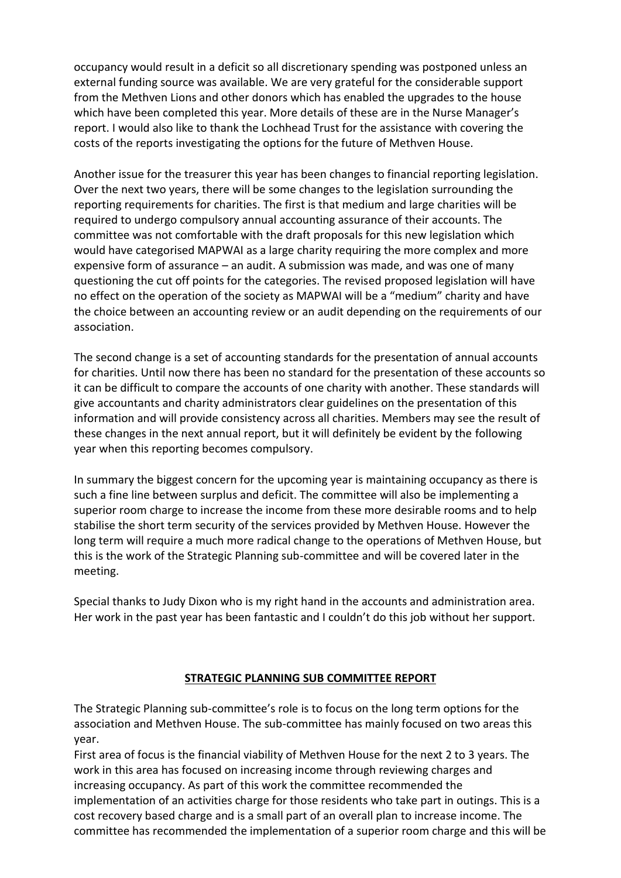occupancy would result in a deficit so all discretionary spending was postponed unless an external funding source was available. We are very grateful for the considerable support from the Methven Lions and other donors which has enabled the upgrades to the house which have been completed this year. More details of these are in the Nurse Manager's report. I would also like to thank the Lochhead Trust for the assistance with covering the costs of the reports investigating the options for the future of Methven House.

Another issue for the treasurer this year has been changes to financial reporting legislation. Over the next two years, there will be some changes to the legislation surrounding the reporting requirements for charities. The first is that medium and large charities will be required to undergo compulsory annual accounting assurance of their accounts. The committee was not comfortable with the draft proposals for this new legislation which would have categorised MAPWAI as a large charity requiring the more complex and more expensive form of assurance – an audit. A submission was made, and was one of many questioning the cut off points for the categories. The revised proposed legislation will have no effect on the operation of the society as MAPWAI will be a "medium" charity and have the choice between an accounting review or an audit depending on the requirements of our association.

The second change is a set of accounting standards for the presentation of annual accounts for charities. Until now there has been no standard for the presentation of these accounts so it can be difficult to compare the accounts of one charity with another. These standards will give accountants and charity administrators clear guidelines on the presentation of this information and will provide consistency across all charities. Members may see the result of these changes in the next annual report, but it will definitely be evident by the following year when this reporting becomes compulsory.

In summary the biggest concern for the upcoming year is maintaining occupancy as there is such a fine line between surplus and deficit. The committee will also be implementing a superior room charge to increase the income from these more desirable rooms and to help stabilise the short term security of the services provided by Methven House. However the long term will require a much more radical change to the operations of Methven House, but this is the work of the Strategic Planning sub-committee and will be covered later in the meeting.

Special thanks to Judy Dixon who is my right hand in the accounts and administration area. Her work in the past year has been fantastic and I couldn't do this job without her support.

## **STRATEGIC PLANNING SUB COMMITTEE REPORT**

The Strategic Planning sub-committee's role is to focus on the long term options for the association and Methven House. The sub-committee has mainly focused on two areas this year.

First area of focus is the financial viability of Methven House for the next 2 to 3 years. The work in this area has focused on increasing income through reviewing charges and increasing occupancy. As part of this work the committee recommended the implementation of an activities charge for those residents who take part in outings. This is a cost recovery based charge and is a small part of an overall plan to increase income. The committee has recommended the implementation of a superior room charge and this will be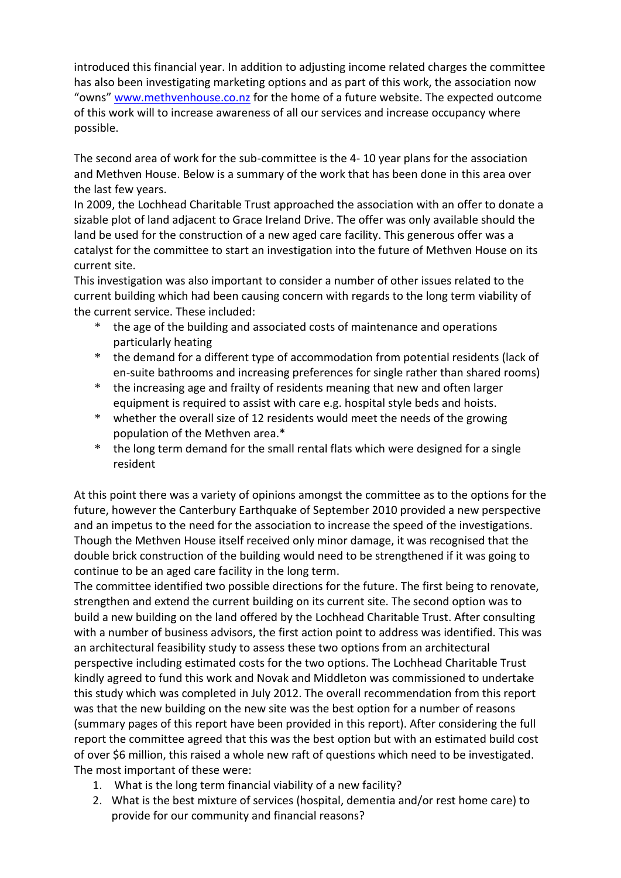introduced this financial year. In addition to adjusting income related charges the committee has also been investigating marketing options and as part of this work, the association now "owns" [www.methvenhouse.co.nz](http://www.methvenhouse.co.nz/) for the home of a future website. The expected outcome of this work will to increase awareness of all our services and increase occupancy where possible.

The second area of work for the sub-committee is the 4- 10 year plans for the association and Methven House. Below is a summary of the work that has been done in this area over the last few years.

In 2009, the Lochhead Charitable Trust approached the association with an offer to donate a sizable plot of land adjacent to Grace Ireland Drive. The offer was only available should the land be used for the construction of a new aged care facility. This generous offer was a catalyst for the committee to start an investigation into the future of Methven House on its current site.

This investigation was also important to consider a number of other issues related to the current building which had been causing concern with regards to the long term viability of the current service. These included:

- \* the age of the building and associated costs of maintenance and operations particularly heating
- \* the demand for a different type of accommodation from potential residents (lack of en-suite bathrooms and increasing preferences for single rather than shared rooms)
- \* the increasing age and frailty of residents meaning that new and often larger equipment is required to assist with care e.g. hospital style beds and hoists.
- \* whether the overall size of 12 residents would meet the needs of the growing population of the Methven area.\*
- \* the long term demand for the small rental flats which were designed for a single resident

At this point there was a variety of opinions amongst the committee as to the options for the future, however the Canterbury Earthquake of September 2010 provided a new perspective and an impetus to the need for the association to increase the speed of the investigations. Though the Methven House itself received only minor damage, it was recognised that the double brick construction of the building would need to be strengthened if it was going to continue to be an aged care facility in the long term.

The committee identified two possible directions for the future. The first being to renovate, strengthen and extend the current building on its current site. The second option was to build a new building on the land offered by the Lochhead Charitable Trust. After consulting with a number of business advisors, the first action point to address was identified. This was an architectural feasibility study to assess these two options from an architectural perspective including estimated costs for the two options. The Lochhead Charitable Trust kindly agreed to fund this work and Novak and Middleton was commissioned to undertake this study which was completed in July 2012. The overall recommendation from this report was that the new building on the new site was the best option for a number of reasons (summary pages of this report have been provided in this report). After considering the full report the committee agreed that this was the best option but with an estimated build cost of over \$6 million, this raised a whole new raft of questions which need to be investigated. The most important of these were:

- 1. What is the long term financial viability of a new facility?
- 2. What is the best mixture of services (hospital, dementia and/or rest home care) to provide for our community and financial reasons?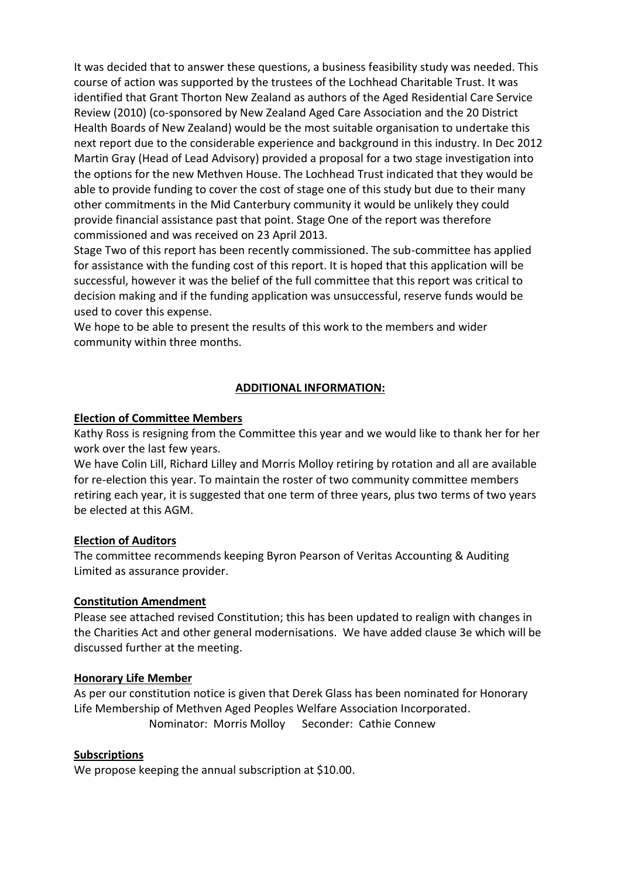It was decided that to answer these questions, a business feasibility study was needed. This course of action was supported by the trustees of the Lochhead Charitable Trust. It was identified that Grant Thorton New Zealand as authors of the Aged Residential Care Service Review (2010) (co-sponsored by New Zealand Aged Care Association and the 20 District Health Boards of New Zealand) would be the most suitable organisation to undertake this next report due to the considerable experience and background in this industry. In Dec 2012 Martin Gray (Head of Lead Advisory) provided a proposal for a two stage investigation into the options for the new Methven House. The Lochhead Trust indicated that they would be able to provide funding to cover the cost of stage one of this study but due to their many other commitments in the Mid Canterbury community it would be unlikely they could provide financial assistance past that point. Stage One of the report was therefore commissioned and was received on 23 April 2013.

Stage Two of this report has been recently commissioned. The sub-committee has applied for assistance with the funding cost of this report. It is hoped that this application will be successful, however it was the belief of the full committee that this report was critical to decision making and if the funding application was unsuccessful, reserve funds would be used to cover this expense.

We hope to be able to present the results of this work to the members and wider community within three months.

## **ADDITIONAL INFORMATION:**

#### **Election of Committee Members**

Kathy Ross is resigning from the Committee this year and we would like to thank her for her work over the last few years.

We have Colin Lill, Richard Lilley and Morris Molloy retiring by rotation and all are available for re-election this year. To maintain the roster of two community committee members retiring each year, it is suggested that one term of three years, plus two terms of two years be elected at this AGM.

#### **Election of Auditors**

The committee recommends keeping Byron Pearson of Veritas Accounting & Auditing Limited as assurance provider.

#### **Constitution Amendment**

Please see attached revised Constitution; this has been updated to realign with changes in the Charities Act and other general modernisations. We have added clause 3e which will be discussed further at the meeting.

#### **Honorary Life Member**

As per our constitution notice is given that Derek Glass has been nominated for Honorary Life Membership of Methven Aged Peoples Welfare Association Incorporated. Nominator: Morris Molloy Seconder: Cathie Connew

#### **Subscriptions**

We propose keeping the annual subscription at \$10.00.